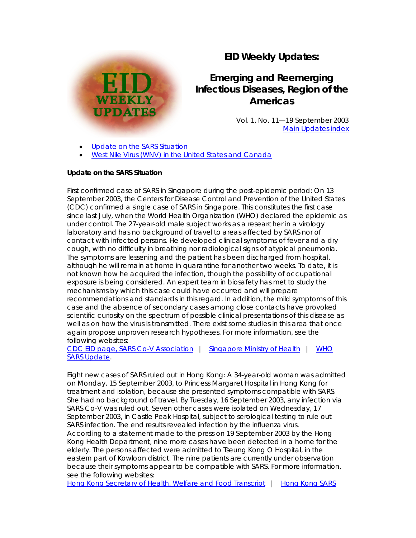## **EID Weekly Updates:**

# **Emerging and Reemerging Infectious Diseases, Region of the Americas**

Vol. 1, No. 11—19 September 2003 [Main Updates index](http://www.paho.org/English/AD/DPC/CD/eid-eer-ew.htm)

[Update on the SARS Situation](http://www.paho.org/English/AD/DPC/CD/eid-eer-19-sep-2003.htm#sars#sars)

[West Nile Virus \(WNV\) in the United States and Canada](http://www.paho.org/English/AD/DPC/CD/eid-eer-19-sep-2003.htm#wnv#wnv)

### **Update on the SARS Situation**

ш

**WEEKLY UPDATES** 

*First confirmed case of SARS in Singapore during the post-epidemic period:* On 13 September 2003, the Centers for Disease Control and Prevention of the United States (CDC) confirmed a single case of SARS in Singapore. This constitutes the first case since last July, when the World Health Organization (WHO) declared the epidemic as under control. The 27-year-old male subject works as a researcher in a virology laboratory and has no background of travel to areas affected by SARS nor of contact with infected persons. He developed clinical symptoms of fever and a dry cough, with no difficulty in breathing nor radiological signs of atypical pneumonia. The symptoms are lessening and the patient has been discharged from hospital, although he will remain at home in quarantine for another two weeks. To date, it is not known how he acquired the infection, though the possibility of occupational exposure is being considered. An expert team in biosafety has met to study the mechanisms by which this case could have occurred and will prepare recommendations and standards in this regard. In addition, the mild symptoms of this case and the absence of secondary cases among close contacts have provoked scientific curiosity on the spectrum of possible clinical presentations of this disease as well as on how the virus is transmitted. There exist some studies in this area that once again propose unproven research hypotheses. For more information, see the following websites:

[CDC EID page, SARS Co-V Association](http://www.cdc.gov/ncidod/EID/vol9no11/03-0421.htm) | [Singapore Ministry of Health](http://app.moh.gov.sg/new/new01.asp) | [WHO](http://www.who.int/csr/don/2003_09_16/en/)  [SARS Update.](http://www.who.int/csr/don/2003_09_16/en/)

*Eight new cases of SARS ruled out in Hong Kong:* A 34-year-old woman was admitted on Monday, 15 September 2003, to Princess Margaret Hospital in Hong Kong for treatment and isolation, because she presented symptoms compatible with SARS. She had no background of travel. By Tuesday, 16 September 2003, any infection via SARS Co-V was ruled out. Seven other cases were isolated on Wednesday, 17 September 2003, in Castle Peak Hospital, subject to serological testing to rule out SARS infection. The end results revealed infection by the influenza virus. According to a statement made to the press on 19 September 2003 by the Hong Kong Health Department, nine more cases have been detected in a home for the elderly. The persons affected were admitted to Tseung Kong O Hospital, in the eastern part of Kowloon district. The nine patients are currently under observation because their symptoms appear to be compatible with SARS. For more information, see the following websites:

[Hong Kong Secretary of Health, Welfare and Food Transcript](http://www.info.gov.hk/gia/general/200309/16/0916145.htm) | [Hong Kong SARS](http://www.info.gov.hk/info/sars/eindex.htm)